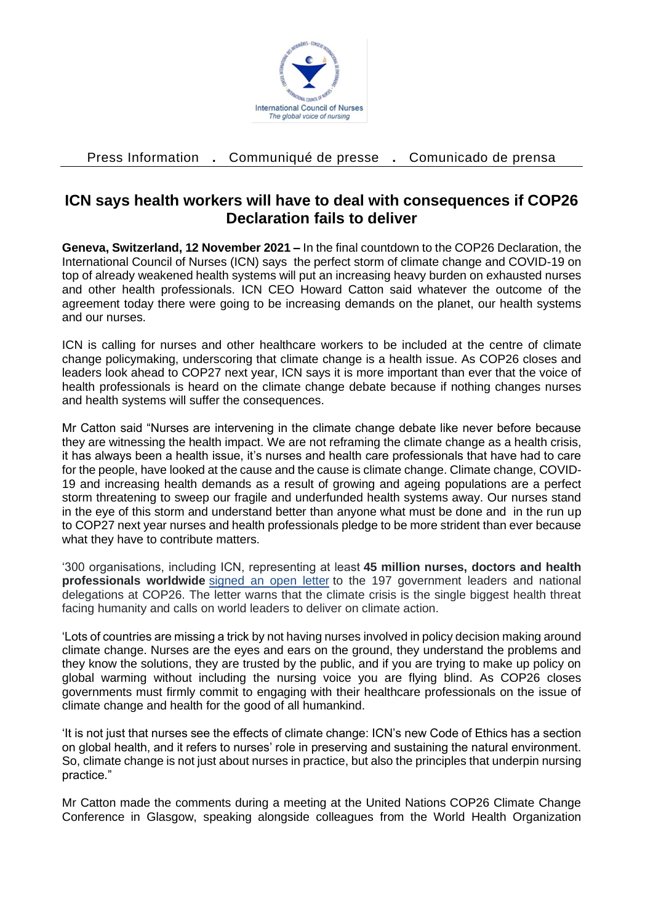

Press Information **.** Communiqué de presse **.** Comunicado de prensa

## **ICN says health workers will have to deal with consequences if COP26 Declaration fails to deliver**

**Geneva, Switzerland, 12 November 2021 –** In the final countdown to the COP26 Declaration, the International Council of Nurses (ICN) says the perfect storm of climate change and COVID-19 on top of already weakened health systems will put an increasing heavy burden on exhausted nurses and other health professionals. ICN CEO Howard Catton said whatever the outcome of the agreement today there were going to be increasing demands on the planet, our health systems and our nurses.

ICN is calling for nurses and other healthcare workers to be included at the centre of climate change policymaking, underscoring that climate change is a health issue. As COP26 closes and leaders look ahead to COP27 next year, ICN says it is more important than ever that the voice of health professionals is heard on the climate change debate because if nothing changes nurses and health systems will suffer the consequences.

Mr Catton said "Nurses are intervening in the climate change debate like never before because they are witnessing the health impact. We are not reframing the climate change as a health crisis, it has always been a health issue, it's nurses and health care professionals that have had to care for the people, have looked at the cause and the cause is climate change. Climate change, COVID-19 and increasing health demands as a result of growing and ageing populations are a perfect storm threatening to sweep our fragile and underfunded health systems away. Our nurses stand in the eye of this storm and understand better than anyone what must be done and in the run up to COP27 next year nurses and health professionals pledge to be more strident than ever because what they have to contribute matters.

'300 organisations, including ICN, representing at least **45 million nurses, doctors and health professionals worldwide** [signed an open letter](https://healthyclimateletter.net/) to the 197 government leaders and national delegations at COP26. The letter warns that the climate crisis is the single biggest health threat facing humanity and calls on world leaders to deliver on climate action.

'Lots of countries are missing a trick by not having nurses involved in policy decision making around climate change. Nurses are the eyes and ears on the ground, they understand the problems and they know the solutions, they are trusted by the public, and if you are trying to make up policy on global warming without including the nursing voice you are flying blind. As COP26 closes governments must firmly commit to engaging with their healthcare professionals on the issue of climate change and health for the good of all humankind.

'It is not just that nurses see the effects of climate change: ICN's new Code of Ethics has a section on global health, and it refers to nurses' role in preserving and sustaining the natural environment. So, climate change is not just about nurses in practice, but also the principles that underpin nursing practice."

Mr Catton made the comments during a meeting at the United Nations COP26 Climate Change Conference in Glasgow, speaking alongside colleagues from the World Health Organization